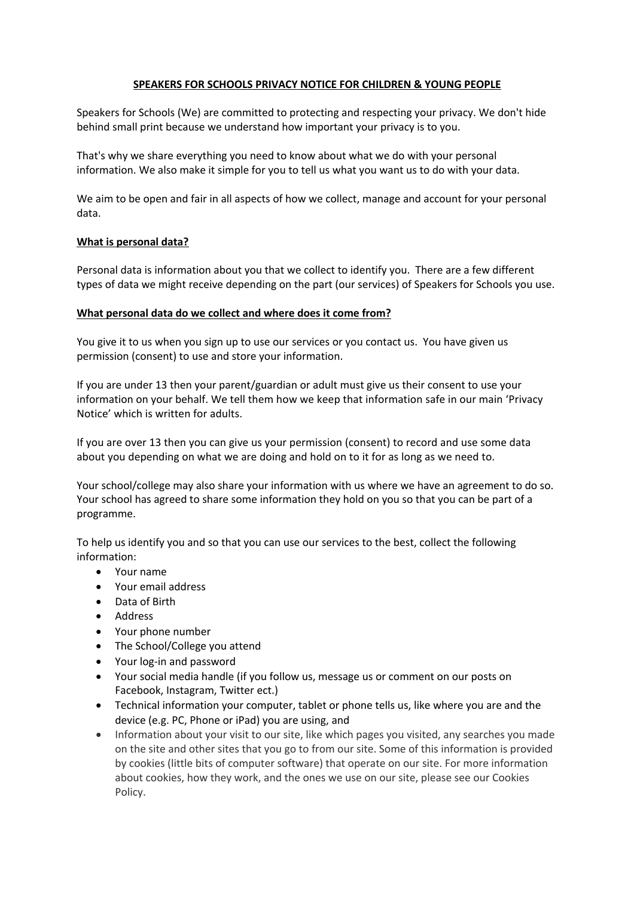# **SPEAKERS FOR SCHOOLS PRIVACY NOTICE FOR CHILDREN & YOUNG PEOPLE**

Speakers for Schools (We) are committed to protecting and respecting your privacy. We don't hide behind small print because we understand how important your privacy is to you.

That's why we share everything you need to know about what we do with your personal information. We also make it simple for you to tell us what you want us to do with your data.

We aim to be open and fair in all aspects of how we collect, manage and account for your personal data.

# **What is personal data?**

Personal data is information about you that we collect to identify you. There are a few different types of data we might receive depending on the part (our services) of Speakers for Schools you use.

### **What personal data do we collect and where does it come from?**

You give it to us when you sign up to use our services or you contact us. You have given us permission (consent) to use and store your information.

If you are under 13 then your parent/guardian or adult must give us their consent to use your information on your behalf. We tell them how we keep that information safe in our main 'Privacy Notice' which is written for adults.

If you are over 13 then you can give us your permission (consent) to record and use some data about you depending on what we are doing and hold on to it for as long as we need to.

Your school/college may also share your information with us where we have an agreement to do so. Your school has agreed to share some information they hold on you so that you can be part of a programme.

To help us identify you and so that you can use our services to the best, collect the following information:

- Your name
- Your email address
- Data of Birth
- Address
- Your phone number
- The School/College you attend
- Your log-in and password
- Your social media handle (if you follow us, message us or comment on our posts on Facebook, Instagram, Twitter ect.)
- Technical information your computer, tablet or phone tells us, like where you are and the device (e.g. PC, Phone or iPad) you are using, and
- Information about your visit to our site, like which pages you visited, any searches you made on the site and other sites that you go to from our site. Some of this information is provided by cookies (little bits of computer software) that operate on our site. For more information about cookies, how they work, and the ones we use on our site, please see our Cookies Policy.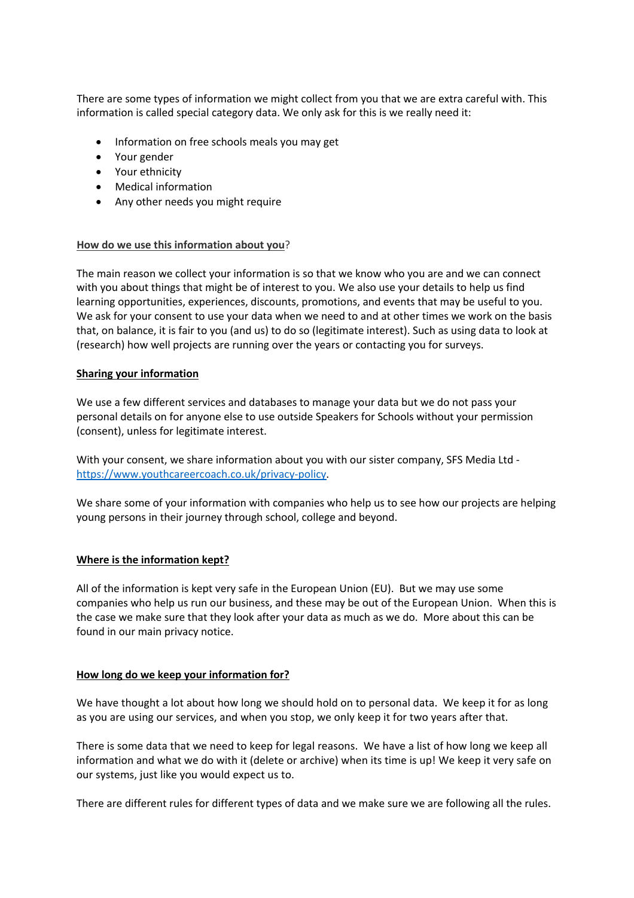There are some types of information we might collect from you that we are extra careful with. This information is called special category data. We only ask for this is we really need it:

- Information on free schools meals you may get
- Your gender
- Your ethnicity
- Medical information
- Any other needs you might require

### **How do we use this information about you**?

The main reason we collect your information is so that we know who you are and we can connect with you about things that might be of interest to you. We also use your details to help us find learning opportunities, experiences, discounts, promotions, and events that may be useful to you. We ask for your consent to use your data when we need to and at other times we work on the basis that, on balance, it is fair to you (and us) to do so (legitimate interest). Such as using data to look at (research) how well projects are running over the years or contacting you for surveys.

### **Sharing your information**

We use a few different services and databases to manage your data but we do not pass your personal details on for anyone else to use outside Speakers for Schools without your permission (consent), unless for legitimate interest.

With your consent, we share information about you with our sister company, SFS Media Ltd https://www.youthcareercoach.co.uk/privacy-policy.

We share some of your information with companies who help us to see how our projects are helping young persons in their journey through school, college and beyond.

### **Where is the information kept?**

All of the information is kept very safe in the European Union (EU). But we may use some companies who help us run our business, and these may be out of the European Union. When this is the case we make sure that they look after your data as much as we do. More about this can be found in our main privacy notice.

#### **How long do we keep your information for?**

We have thought a lot about how long we should hold on to personal data. We keep it for as long as you are using our services, and when you stop, we only keep it for two years after that.

There is some data that we need to keep for legal reasons. We have a list of how long we keep all information and what we do with it (delete or archive) when its time is up! We keep it very safe on our systems, just like you would expect us to.

There are different rules for different types of data and we make sure we are following all the rules.